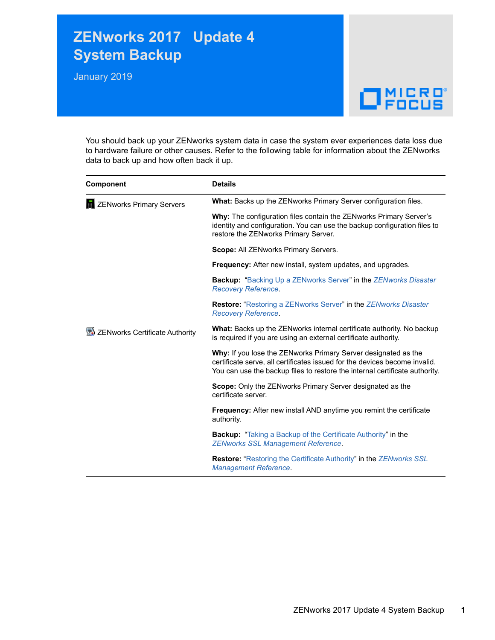## **ZENworks 2017 Update 4 System Backup**

January 2019

## $\Box$ Pocus

You should back up your ZENworks system data in case the system ever experiences data loss due to hardware failure or other causes. Refer to the following table for information about the ZENworks data to back up and how often back it up.

| <b>Component</b>                    | <b>Details</b>                                                                                                                                                                                                              |
|-------------------------------------|-----------------------------------------------------------------------------------------------------------------------------------------------------------------------------------------------------------------------------|
| <b>THE ZENworks Primary Servers</b> | What: Backs up the ZENworks Primary Server configuration files.                                                                                                                                                             |
|                                     | Why: The configuration files contain the ZENworks Primary Server's<br>identity and configuration. You can use the backup configuration files to<br>restore the ZENworks Primary Server.                                     |
|                                     | Scope: All ZENworks Primary Servers.                                                                                                                                                                                        |
|                                     | <b>Frequency:</b> After new install, system updates, and upgrades.                                                                                                                                                          |
|                                     | Backup: "Backing Up a ZENworks Server" in the ZENworks Disaster<br><b>Recovery Reference.</b>                                                                                                                               |
|                                     | <b>Restore: "Restoring a ZENworks Server" in the ZENworks Disaster</b><br><b>Recovery Reference.</b>                                                                                                                        |
| ZENworks Certificate Authority      | <b>What:</b> Backs up the ZENworks internal certificate authority. No backup<br>is required if you are using an external certificate authority.                                                                             |
|                                     | Why: If you lose the ZENworks Primary Server designated as the<br>certificate serve, all certificates issued for the devices become invalid.<br>You can use the backup files to restore the internal certificate authority. |
|                                     | <b>Scope:</b> Only the ZENworks Primary Server designated as the<br>certificate server.                                                                                                                                     |
|                                     | <b>Frequency:</b> After new install AND anytime you remint the certificate<br>authority.                                                                                                                                    |
|                                     | <b>Backup:</b> "Taking a Backup of the Certificate Authority" in the<br><b>ZENworks SSL Management Reference.</b>                                                                                                           |
|                                     | <b>Restore:</b> "Restoring the Certificate Authority" in the <b>ZENworks SSL</b><br><b>Management Reference</b>                                                                                                             |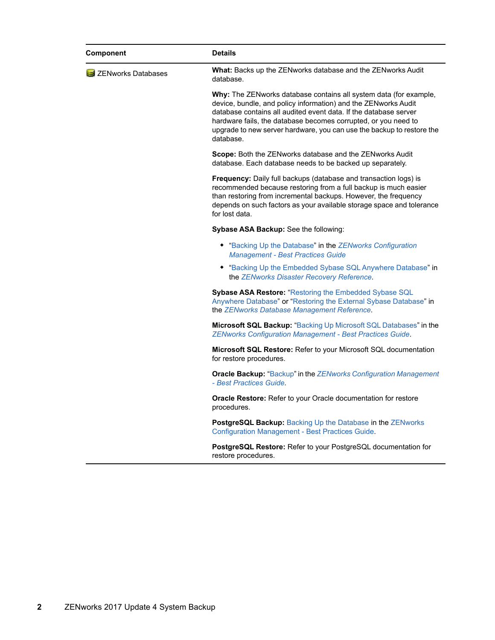| <b>What:</b> Backs up the ZENworks database and the ZENworks Audit<br>database.<br>Why: The ZENworks database contains all system data (for example,<br>device, bundle, and policy information) and the ZENworks Audit<br>database contains all audited event data. If the database server<br>hardware fails, the database becomes corrupted, or you need to<br>upgrade to new server hardware, you can use the backup to restore the<br>database.<br>Scope: Both the ZENworks database and the ZENworks Audit<br>database. Each database needs to be backed up separately.<br>Frequency: Daily full backups (database and transaction logs) is<br>recommended because restoring from a full backup is much easier<br>than restoring from incremental backups. However, the frequency<br>depends on such factors as your available storage space and tolerance<br>for lost data.<br>Sybase ASA Backup: See the following:<br>• "Backing Up the Database" in the ZENworks Configuration<br><b>Management - Best Practices Guide</b><br>• "Backing Up the Embedded Sybase SQL Anywhere Database" in<br>the ZENworks Disaster Recovery Reference.<br>Sybase ASA Restore: "Restoring the Embedded Sybase SQL<br>Anywhere Database" or "Restoring the External Sybase Database" in<br>the ZENworks Database Management Reference.<br>Microsoft SQL Backup: "Backing Up Microsoft SQL Databases" in the<br><b>ZENworks Configuration Management - Best Practices Guide.</b><br>Microsoft SQL Restore: Refer to your Microsoft SQL documentation<br>for restore procedures.<br><b>Oracle Backup:</b> "Backup" in the ZENworks Configuration Management<br>- Best Practices Guide.<br><b>Oracle Restore:</b> Refer to your Oracle documentation for restore<br>procedures.<br>PostgreSQL Backup: Backing Up the Database in the ZENworks<br><b>Configuration Management - Best Practices Guide.</b><br><b>PostgreSQL Restore:</b> Refer to your PostgreSQL documentation for<br>restore procedures. | Component          | <b>Details</b> |
|---------------------------------------------------------------------------------------------------------------------------------------------------------------------------------------------------------------------------------------------------------------------------------------------------------------------------------------------------------------------------------------------------------------------------------------------------------------------------------------------------------------------------------------------------------------------------------------------------------------------------------------------------------------------------------------------------------------------------------------------------------------------------------------------------------------------------------------------------------------------------------------------------------------------------------------------------------------------------------------------------------------------------------------------------------------------------------------------------------------------------------------------------------------------------------------------------------------------------------------------------------------------------------------------------------------------------------------------------------------------------------------------------------------------------------------------------------------------------------------------------------------------------------------------------------------------------------------------------------------------------------------------------------------------------------------------------------------------------------------------------------------------------------------------------------------------------------------------------------------------------------------------------------------------------------------------------------------------------------------------|--------------------|----------------|
|                                                                                                                                                                                                                                                                                                                                                                                                                                                                                                                                                                                                                                                                                                                                                                                                                                                                                                                                                                                                                                                                                                                                                                                                                                                                                                                                                                                                                                                                                                                                                                                                                                                                                                                                                                                                                                                                                                                                                                                             | ZENworks Databases |                |
|                                                                                                                                                                                                                                                                                                                                                                                                                                                                                                                                                                                                                                                                                                                                                                                                                                                                                                                                                                                                                                                                                                                                                                                                                                                                                                                                                                                                                                                                                                                                                                                                                                                                                                                                                                                                                                                                                                                                                                                             |                    |                |
|                                                                                                                                                                                                                                                                                                                                                                                                                                                                                                                                                                                                                                                                                                                                                                                                                                                                                                                                                                                                                                                                                                                                                                                                                                                                                                                                                                                                                                                                                                                                                                                                                                                                                                                                                                                                                                                                                                                                                                                             |                    |                |
|                                                                                                                                                                                                                                                                                                                                                                                                                                                                                                                                                                                                                                                                                                                                                                                                                                                                                                                                                                                                                                                                                                                                                                                                                                                                                                                                                                                                                                                                                                                                                                                                                                                                                                                                                                                                                                                                                                                                                                                             |                    |                |
|                                                                                                                                                                                                                                                                                                                                                                                                                                                                                                                                                                                                                                                                                                                                                                                                                                                                                                                                                                                                                                                                                                                                                                                                                                                                                                                                                                                                                                                                                                                                                                                                                                                                                                                                                                                                                                                                                                                                                                                             |                    |                |
|                                                                                                                                                                                                                                                                                                                                                                                                                                                                                                                                                                                                                                                                                                                                                                                                                                                                                                                                                                                                                                                                                                                                                                                                                                                                                                                                                                                                                                                                                                                                                                                                                                                                                                                                                                                                                                                                                                                                                                                             |                    |                |
|                                                                                                                                                                                                                                                                                                                                                                                                                                                                                                                                                                                                                                                                                                                                                                                                                                                                                                                                                                                                                                                                                                                                                                                                                                                                                                                                                                                                                                                                                                                                                                                                                                                                                                                                                                                                                                                                                                                                                                                             |                    |                |
|                                                                                                                                                                                                                                                                                                                                                                                                                                                                                                                                                                                                                                                                                                                                                                                                                                                                                                                                                                                                                                                                                                                                                                                                                                                                                                                                                                                                                                                                                                                                                                                                                                                                                                                                                                                                                                                                                                                                                                                             |                    |                |
|                                                                                                                                                                                                                                                                                                                                                                                                                                                                                                                                                                                                                                                                                                                                                                                                                                                                                                                                                                                                                                                                                                                                                                                                                                                                                                                                                                                                                                                                                                                                                                                                                                                                                                                                                                                                                                                                                                                                                                                             |                    |                |
|                                                                                                                                                                                                                                                                                                                                                                                                                                                                                                                                                                                                                                                                                                                                                                                                                                                                                                                                                                                                                                                                                                                                                                                                                                                                                                                                                                                                                                                                                                                                                                                                                                                                                                                                                                                                                                                                                                                                                                                             |                    |                |
|                                                                                                                                                                                                                                                                                                                                                                                                                                                                                                                                                                                                                                                                                                                                                                                                                                                                                                                                                                                                                                                                                                                                                                                                                                                                                                                                                                                                                                                                                                                                                                                                                                                                                                                                                                                                                                                                                                                                                                                             |                    |                |
|                                                                                                                                                                                                                                                                                                                                                                                                                                                                                                                                                                                                                                                                                                                                                                                                                                                                                                                                                                                                                                                                                                                                                                                                                                                                                                                                                                                                                                                                                                                                                                                                                                                                                                                                                                                                                                                                                                                                                                                             |                    |                |
|                                                                                                                                                                                                                                                                                                                                                                                                                                                                                                                                                                                                                                                                                                                                                                                                                                                                                                                                                                                                                                                                                                                                                                                                                                                                                                                                                                                                                                                                                                                                                                                                                                                                                                                                                                                                                                                                                                                                                                                             |                    |                |
|                                                                                                                                                                                                                                                                                                                                                                                                                                                                                                                                                                                                                                                                                                                                                                                                                                                                                                                                                                                                                                                                                                                                                                                                                                                                                                                                                                                                                                                                                                                                                                                                                                                                                                                                                                                                                                                                                                                                                                                             |                    |                |